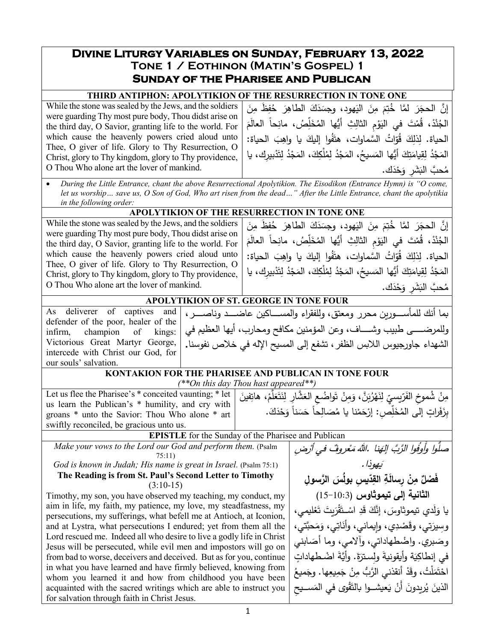# **Divine Liturgy Variables on Sunday, February 13, 2022 Tone 1 / Eothinon (Matin's Gospel) 1 Sunday of the Pharisee and Publican**

## **THIRD ANTIPHON: APOLYTIKION OF THE RESURRECTION IN TONE ONE**

While the stone was sealed by the Jews, and the soldiers were guarding Thy most pure body, Thou didst arise on the third day, O Savior, granting life to the world. For which cause the heavenly powers cried aloud unto Thee, O giver of life. Glory to Thy Resurrection, O Christ, glory to Thy kingdom, glory to Thy providence, O Thou Who alone art the lover of mankind.

إِنَّ الحجَرَ لمَّا خُتِمَ مِنَ اليَهود، وجسَدَكَ الطاهِرَ خُفِظَ مِنَ<br>مدفقه وُصدته الجُنْدْ، قُمْتَ في اليَوْمِ الثالِثِ أيُّها المُخَلِّصُ، مانِحاً العالَمَ<br>. َ الح�اة: ِب َ �ا واه ُوا إل�ك َف ات َّ السماوات، هت ُ ّ ُو َ ق ِك ِذل الح�اة. ل المَجْدُ لِقِيامَتِكَ أَيُّها المَسيحُ، المَجْدُ لِمُلْكِكَ، المَجْدُ لِتَدْبيرِك، يا مُحبَّ البَشَّرِ وَحْذَك.<br>مستقدمات

• *During the Little Entrance, chant the above Resurrectional Apolytikion. The Eisodikon (Entrance Hymn) is "O come, let us worship… save us, O Son of God, Who art risen from the dead…" After the Little Entrance, chant the apolytikia in the following order:*

### **APOLYTIKION OF THE RESURRECTION IN TONE ONE**

While the stone was sealed by the Jews, and the soldiers were guarding Thy most pure body, Thou didst arise on the third day, O Savior, granting life to the world. For which cause the heavenly powers cried aloud unto Thee, O giver of life. Glory to Thy Resurrection, O Christ, glory to Thy kingdom, glory to Thy providence, O Thou Who alone art the lover of mankind.

إِنَّ الحجَرَ لمَّا خُتِمَ مِنَ اليَهود، وجسَدَكَ الطاهِرَ حُفِظَ مِنَ<br>مدفقه في الماضي َ َم ً العال ِحا ِ ُص، مان ل َّ ُخ ِ ِث ُّ أیها الم ْ ِم الثال َو ْ َت في الی ُم ،ْ ق ْد ن ُ الج الحياة. لِذلِكَ قُوّاتُ السَّماوات، هتَفُوا إِليكَ يا واهِبَ الحياة:<br>-المَجْدُ لِقِيامَتِكَ أَيُّها المَسيحُ، المَجْدُ لِمُلْكِكَ، المَجْدُ لِتَدْبيرِك، يا مُحبَّ البَشَّرِ وَحْذَك.

وللمرضـــــى طبيب وشـــــاف، وعن المؤمنين مكافح ومحارب، أيها العظيم في الشهداء جاورجیوس اللا�س الظفر، تشفع إلى المس�ح الإله في خلاص نفوسنا**.**

## **APOLYTIKION OF ST. GEORGE IN TONE FOUR** بما أنك للمأســــوربن محرر ومعتق، وللفقراء والمســــاكین عاضـــــد وناصـــــر ،

|  | As deliverer of captives and        |  |  |
|--|-------------------------------------|--|--|
|  | defender of the poor, healer of the |  |  |
|  | infirm, champion of kings:          |  |  |
|  | Victorious Great Martyr George,     |  |  |
|  | intercede with Christ our God, for  |  |  |
|  | our souls' salvation.               |  |  |

## **KONTAKION FOR THE PHARISEE AND PUBLICAN IN TONE FOUR**

*(\*\*On this day Thou hast appeared\*\*)*

Let us flee the Pharisee's  $*$  conceited vaunting;  $*$  let us learn the Publican's \* humility, and cry with groans \* unto the Savior: Thou Who alone \* art swiftly reconciled, be gracious unto us. مِنْ شُموخِ الفَرّيسيِّ لِنَهْرُبَنَّ، وَمِنْ تَواضُعِ العَشَّارِ لِنَتَعَلَّمْ، هاتِفينَ<br>وَفِي الْفَرَيْسِيِّ لِنَهْرُبَنَّ، وَمِنْ تَواضُعِ .<br>ا بِزَفَراتٍ إلَى المُخَلِّصِ: إرْحَمْنا يا مُصَالِحاً حَسَناً وَحْدَكَ.

### **EPISTLE** for the Sunday of the Pharisee and Publican

*Make your vows to the Lord our God and perform them.* (Psalm 75:11)

*God is known in Judah; His name is great in Israel.* (Psalm 75:1) **The Reading is from St. Paul's Second Letter to Timothy**

# (3:10-15)

Timothy, my son, you have observed my teaching, my conduct, my aim in life, my faith, my patience, my love, my steadfastness, my persecutions, my sufferings, what befell me at Antioch, at Iconion, and at Lystra, what persecutions I endured; yet from them all the Lord rescued me. Indeed all who desire to live a godly life in Christ Jesus will be persecuted, while evil men and impostors will go on from bad to worse, deceivers and deceived. But as for you, continue in what you have learned and have firmly believed, knowing from whom you learned it and how from childhood you have been acquainted with the sacred writings which are able to instruct you for salvation through faith in Christ Jesus.

 نا ُ َّ وا الرَّب إله ع ٌ روف ْ في أر ِض ُّوا وأَوف ْ م ُ صل .الله یهوذا. َ **ّ ِ �س ُ بول َس َّ الر ِ سول ِد ِ الق ْن ِ ر َسالة ِ ٌ م َف ْصل الثان�ة إلى ت�موثاوس** (15-10:3) ْ ل�مي، َع �ت ت َ َ ْر َق ِ اســـــ ْ ت َد َ ق دي ت�موثاوس َّ ، إنك َ َ ل َ �ا و َّتي، َحب َم ِي، و َات ِي، و��ماني، وأن َ ْصد َتي، وق ِوسیر َ وص . ابني َ بري ْ واضطهاداتي، وآلامي، وما أص َ ة َ َ َ ة وأ�قون�ة ِ ولســتر�ِ َّ . وأ� َة اضــ ْ ٍ طهادات في إنطاك ِها ِ�ع َم ْ ج ِن ْ َّ أنقذني الرُّب م َد ْل ُت، وق َ َم ت ُ اح . ْ َم�ع وج َ ِ ســــــ�ح ْوى في الم َق َع�شــــــوا �الت � ْ َ أَن ُر�دون َ ی الذین